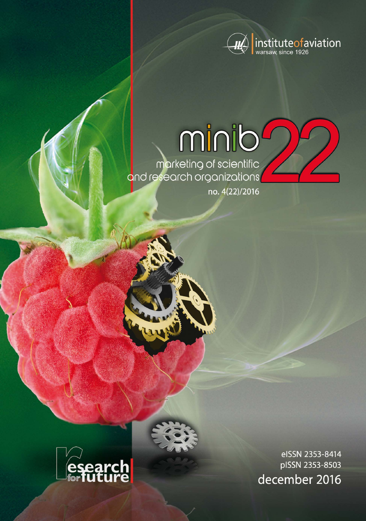

# minib

marketing of scientific<br>and research organizations

no. 4(22)/2016



eISSN 2353-8414 pISSN 2353-8503 december 2016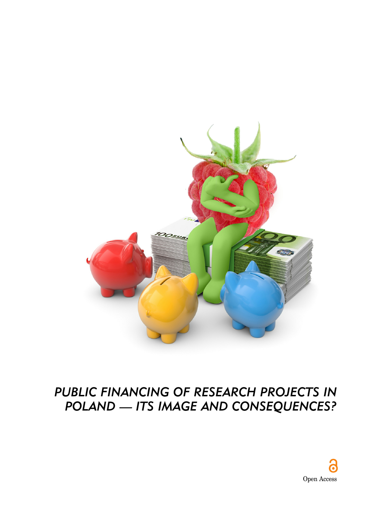

# *PUBLIC FINANCING OF RESEARCH PROJECTS IN POLAND — ITS IMAGE AND CONSEQUENCES?*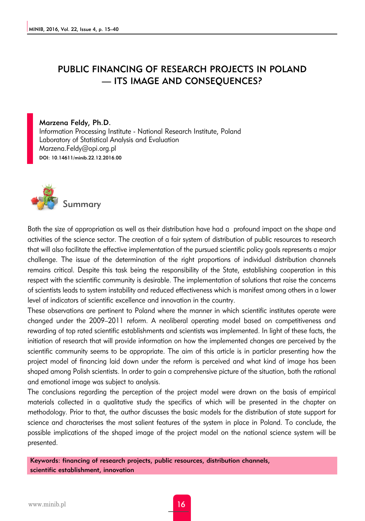# PUBLIC FINANCING OF RESEARCH PROJECTS IN POLAND — ITS IMAGE AND CONSEQUENCES?

#### Marzena Feldy, Ph.D. Information Processing Institute - National Research Institute, Poland Laboratory of Statistical Analysis and Evaluation Marzena.Feldy@opi.org.pl DOI: 10.14611/minib.22.12.2016.00



Both the size of appropriation as well as their distribution have had a profound impact on the shape and activities of the science sector. The creation of a fair system of distribution of public resources to research that will also facilitate the effective implementation of the pursued scientific policy goals represents a major challenge. The issue of the determination of the right proportions of individual distribution channels remains critical. Despite this task being the responsibility of the State, establishing cooperation in this respect with the scientific community is desirable. The implementation of solutions that raise the concerns of scientists leads to system instability and reduced effectiveness which is manifest among others in a lower level of indicators of scientific excellence and innovation in the country.

These observations are pertinent to Poland where the manner in which scientific institutes operate were changed under the 2009–2011 reform. A neoliberal operating model based on competitiveness and rewarding of top rated scientific establishments and scientists was implemented. In light of these facts, the initiation of research that will provide information on how the implemented changes are perceived by the scientific community seems to be appropriate. The aim of this article is in particlar presenting how the project model of financing laid down under the reform is perceived and what kind of image has been shaped among Polish scientists. In order to gain a comprehensive picture of the situation, both the rational and emotional image was subject to analysis.

The conclusions regarding the perception of the project model were drawn on the basis of empirical materials collected in a qualitative study the specifics of which will be presented in the chapter on methodology. Prior to that, the author discusses the basic models for the distribution of state support for science and characterises the most salient features of the system in place in Poland. To conclude, the possible implications of the shaped image of the project model on the national science system will be presented.

Keywords: financing of research projects, public resources, distribution channels, scientific establishment, innovation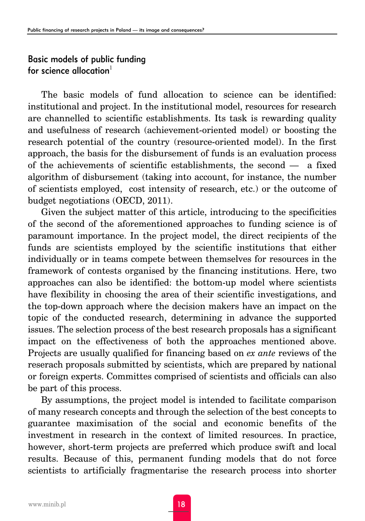# Basic models of public funding for science allocation $1$

The basic models of fund allocation to science can be identified: institutional and project. In the institutional model, resources for research are channelled to scientific establishments. Its task is rewarding quality and usefulness of research (achievement-oriented model) or boosting the research potential of the country (resource-oriented model). In the first approach, the basis for the disbursement of funds is an evaluation process of the achievements of scientific establishments, the second — a fixed algorithm of disbursement (taking into account, for instance, the number of scientists employed, cost intensity of research, etc.) or the outcome of budget negotiations (OECD, 2011).

Given the subject matter of this article, introducing to the specificities of the second of the aforementioned approaches to funding science is of paramount importance. In the project model, the direct recipients of the funds are scientists employed by the scientific institutions that either individually or in teams compete between themselves for resources in the framework of contests organised by the financing institutions. Here, two approaches can also be identified: the bottom-up model where scientists have flexibility in choosing the area of their scientific investigations, and the top-down approach where the decision makers have an impact on the topic of the conducted research, determining in advance the supported issues. The selection process of the best research proposals has a significant impact on the effectiveness of both the approaches mentioned above. Projects are usually qualified for financing based on *ex ante* reviews of the reserach proposals submitted by scientists, which are prepared by national or foreign experts. Committes comprised of scientists and officials can also be part of this process.

By assumptions, the project model is intended to facilitate comparison of many research concepts and through the selection of the best concepts to guarantee maximisation of the social and economic benefits of the investment in research in the context of limited resources. In practice, however, short-term projects are preferred which produce swift and local results. Because of this, permanent funding models that do not force scientists to artificially fragmentarise the research process into shorter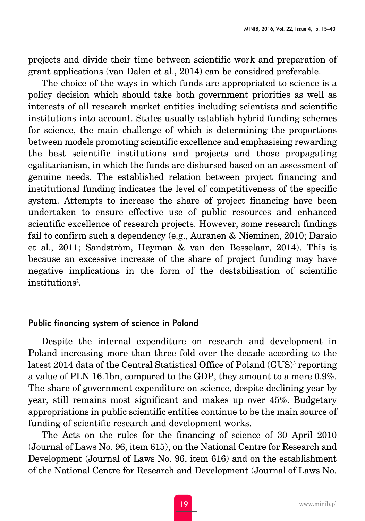projects and divide their time between scientific work and preparation of grant applications (van Dalen et al., 2014) can be considred preferable.

The choice of the ways in which funds are appropriated to science is a policy decision which should take both government priorities as well as interests of all research market entities including scientists and scientific institutions into account. States usually establish hybrid funding schemes for science, the main challenge of which is determining the proportions between models promoting scientific excellence and emphasising rewarding the best scientific institutions and projects and those propagating egalitarianism, in which the funds are disbursed based on an assessment of genuine needs. The established relation between project financing and institutional funding indicates the level of competitiveness of the specific system. Attempts to increase the share of project financing have been undertaken to ensure effective use of public resources and enhanced scientific excellence of research projects. However, some research findings fail to confirm such a dependency (e.g., Auranen & Nieminen, 2010; Daraio et al., 2011; Sandström, Heyman & van den Besselaar, 2014). This is because an excessive increase of the share of project funding may have negative implications in the form of the destabilisation of scientific institutions2.

#### Public financing system of science in Poland

Despite the internal expenditure on research and development in Poland increasing more than three fold over the decade according to the latest 2014 data of the Central Statistical Office of Poland (GUS)<sup>3</sup> reporting a value of PLN 16.1bn, compared to the GDP, they amount to a mere 0.9%. The share of government expenditure on science, despite declining year by year, still remains most significant and makes up over 45%. Budgetary appropriations in public scientific entities continue to be the main source of funding of scientific research and development works.

The Acts on the rules for the financing of science of 30 April 2010 (Journal of Laws No. 96, item 615), on the National Centre for Research and Development (Journal of Laws No. 96, item 616) and on the establishment of the National Centre for Research and Development (Journal of Laws No.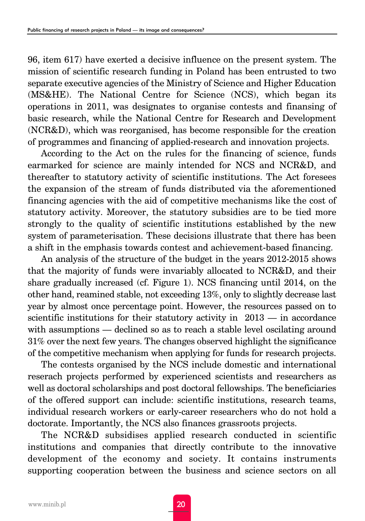96, item 617) have exerted a decisive influence on the present system. The mission of scientific research funding in Poland has been entrusted to two separate executive agencies of the Ministry of Science and Higher Education (MS&HE). The National Centre for Science (NCS), which began its operations in 2011, was designates to organise contests and finansing of basic research, while the National Centre for Research and Development (NCR&D), which was reorganised, has become responsible for the creation of programmes and financing of applied-research and innovation projects.

According to the Act on the rules for the financing of science, funds earmarked for science are mainly intended for NCS and NCR&D, and thereafter to statutory activity of scientific institutions. The Act foresees the expansion of the stream of funds distributed via the aforementioned financing agencies with the aid of competitive mechanisms like the cost of statutory activity. Moreover, the statutory subsidies are to be tied more strongly to the quality of scientific institutions established by the new system of parameterisation. These decisions illustrate that there has been a shift in the emphasis towards contest and achievement-based financing.

An analysis of the structure of the budget in the years 2012-2015 shows that the majority of funds were invariably allocated to NCR&D, and their share gradually increased (cf. Figure 1). NCS financing until 2014, on the other hand, reamined stable, not exceeding 13%, only to slightly decrease last year by almost once percentage point. However, the resources passed on to scientific institutions for their statutory activity in 2013 — in accordance with assumptions — declined so as to reach a stable level oscilating around 31% over the next few years. The changes observed highlight the significance of the competitive mechanism when applying for funds for research projects.

The contests organised by the NCS include domestic and international reserach projects performed by experienced scientists and researchers as well as doctoral scholarships and post doctoral fellowships. The beneficiaries of the offered support can include: scientific institutions, research teams, individual research workers or early-career researchers who do not hold a doctorate. Importantly, the NCS also finances grassroots projects.

The NCR&D subsidises applied research conducted in scientific institutions and companies that directly contribute to the innovative development of the economy and society. It contains instruments supporting cooperation between the business and science sectors on all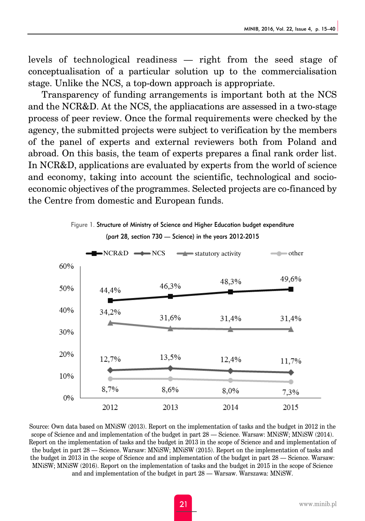levels of technological readiness — right from the seed stage of conceptualisation of a particular solution up to the commercialisation stage. Unlike the NCS, a top-down approach is appropriate.

Transparency of funding arrangements is important both at the NCS and the NCR&D. At the NCS, the appliacations are assessed in a two-stage process of peer review. Once the formal requirements were checked by the agency, the submitted projects were subject to verification by the members of the panel of experts and external reviewers both from Poland and abroad. On this basis, the team of experts prepares a final rank order list. In NCR&D, applications are evaluated by experts from the world of science and economy, taking into account the scientific, technological and socioeconomic objectives of the programmes. Selected projects are co-financed by the Centre from domestic and European funds.



Source: Own data based on MNiSW (2013). Report on the implementation of tasks and the budget in 2012 in the scope of Science and and implementation of the budget in part 28 — Science. Warsaw: MNiSW; MNiSW (2014). Report on the implementation of tasks and the budget in 2013 in the scope of Science and and implementation of the budget in part 28 — Science. Warsaw: MNiSW; MNiSW (2015). Report on the implementation of tasks and the budget in 2013 in the scope of Science and and implementation of the budget in part 28 — Science. Warsaw: MNiSW; MNiSW (2016). Report on the implementation of tasks and the budget in 2015 in the scope of Science and and implementation of the budget in part 28 — Warsaw. Warszawa: MNiSW.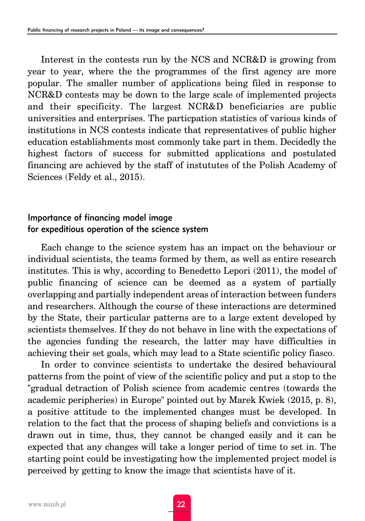Interest in the contests run by the NCS and NCR&D is growing from year to year, where the the programmes of the first agency are more popular. The smaller number of applications being filed in response to NCR&D contests may be down to the large scale of implemented projects and their specificity. The largest NCR&D beneficiaries are public universities and enterprises. The particpation statistics of various kinds of institutions in NCS contests indicate that representatives of public higher education establishments most commonly take part in them. Decidedly the highest factors of success for submitted applications and postulated financing are achieved by the staff of instututes of the Polish Academy of Sciences (Feldy et al., 2015).

# Importance of financing model image for expeditious operation of the science system

Each change to the science system has an impact on the behaviour or individual scientists, the teams formed by them, as well as entire research institutes. This is why, according to Benedetto Lepori (2011), the model of public financing of science can be deemed as a system of partially overlapping and partially independent areas of interaction between funders and researchers. Although the course of these interactions are determined by the State, their particular patterns are to a large extent developed by scientists themselves. If they do not behave in line with the expectations of the agencies funding the research, the latter may have difficulties in achieving their set goals, which may lead to a State scientific policy fiasco.

In order to convince scientists to undertake the desired behavioural patterns from the point of view of the scientific policy and put a stop to the "gradual detraction of Polish science from academic centres (towards the academic peripheries) in Europe" pointed out by Marek Kwiek (2015, p. 8), a positive attitude to the implemented changes must be developed. In relation to the fact that the process of shaping beliefs and convictions is a drawn out in time, thus, they cannot be changed easily and it can be expected that any changes will take a longer period of time to set in. The starting point could be investigating how the implemented project model is perceived by getting to know the image that scientists have of it.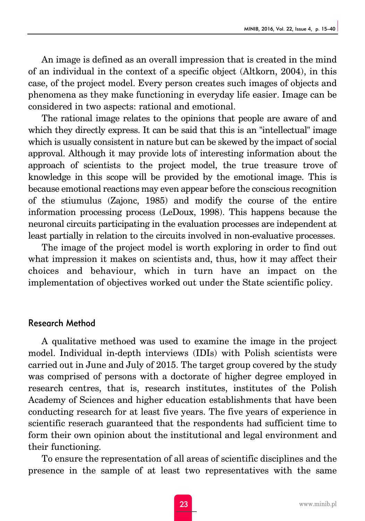An image is defined as an overall impression that is created in the mind of an individual in the context of a specific object (Altkorn, 2004), in this case, of the project model. Every person creates such images of objects and phenomena as they make functioning in everyday life easier. Image can be considered in two aspects: rational and emotional.

The rational image relates to the opinions that people are aware of and which they directly express. It can be said that this is an "intellectual" image which is usually consistent in nature but can be skewed by the impact of social approval. Although it may provide lots of interesting information about the approach of scientists to the project model, the true treasure trove of knowledge in this scope will be provided by the emotional image. This is because emotional reactions may even appear before the conscious recognition of the stiumulus (Zajonc, 1985) and modify the course of the entire information processing process (LeDoux, 1998). This happens because the neuronal circuits participating in the evaluation processes are independent at least partially in relation to the circuits involved in non-evaluative processes.

The image of the project model is worth exploring in order to find out what impression it makes on scientists and, thus, how it may affect their choices and behaviour, which in turn have an impact on the implementation of objectives worked out under the State scientific policy.

### Research Method

A qualitative methoed was used to examine the image in the project model. Individual in-depth interviews (IDIs) with Polish scientists were carried out in June and July of 2015. The target group covered by the study was comprised of persons with a doctorate of higher degree employed in research centres, that is, research institutes, institutes of the Polish Academy of Sciences and higher education establishments that have been conducting research for at least five years. The five years of experience in scientific reserach guaranteed that the respondents had sufficient time to form their own opinion about the institutional and legal environment and their functioning.

To ensure the representation of all areas of scientific disciplines and the presence in the sample of at least two representatives with the same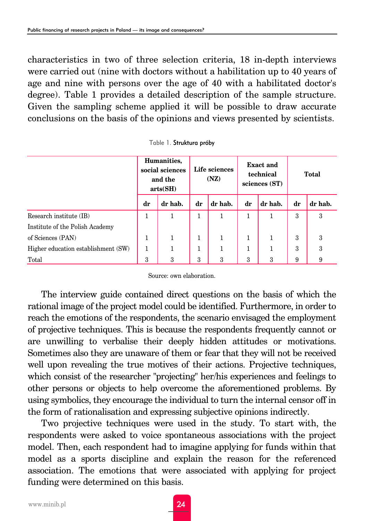characteristics in two of three selection criteria, 18 in-depth interviews were carried out (nine with doctors without a habilitation up to 40 years of age and nine with persons over the age of 40 with a habilitated doctor's degree). Table 1 provides a detailed description of the sample structure. Given the sampling scheme applied it will be possible to draw accurate conclusions on the basis of the opinions and views presented by scientists.

|                                     | Humanities,<br>social sciences<br>and the<br>arts(SH) |         | Life sciences<br>(NZ) |         | <b>Exact and</b><br>technical<br>sciences (ST) |              | Total |         |
|-------------------------------------|-------------------------------------------------------|---------|-----------------------|---------|------------------------------------------------|--------------|-------|---------|
|                                     | dr                                                    | dr hab. | dr                    | dr hab. | dr                                             | dr hab.      | dr    | dr hab. |
| Research institute (IB)             | 1                                                     | 1       | 1                     | 1       | 1                                              | 1            | 3     | 3       |
| Institute of the Polish Academy     |                                                       |         |                       |         |                                                |              |       |         |
| of Sciences (PAN)                   | 1                                                     |         | 1                     |         | $\mathbf{1}$                                   |              | 3     | 3       |
| Higher education establishment (SW) | 1                                                     | 1       | $\mathbf{1}$          | 1       | $\mathbf{1}$                                   | $\mathbf{1}$ | 3     | 3       |
| Total                               | 3                                                     | 3       | 3                     | 3       | 3                                              | 3            | 9     | 9       |

| Table 1. Struktura próby |
|--------------------------|
|--------------------------|

Source: own elaboration.

The interview guide contained direct questions on the basis of which the rational image of the project model could be identified. Furthermore, in order to reach the emotions of the respondents, the scenario envisaged the employment of projective techniques. This is because the respondents frequently cannot or are unwilling to verbalise their deeply hidden attitudes or motivations. Sometimes also they are unaware of them or fear that they will not be received well upon revealing the true motives of their actions. Projective techniques, which consist of the researcher "projecting" her/his experiences and feelings to other persons or objects to help overcome the aforementioned problems. By using symbolics, they encourage the individual to turn the internal censor off in the form of rationalisation and expressing subjective opinions indirectly.

Two projective techniques were used in the study. To start with, the respondents were asked to voice spontaneous associations with the project model. Then, each respondent had to imagine applying for funds within that model as a sports discipline and explain the reason for the referenced association. The emotions that were associated with applying for project funding were determined on this basis.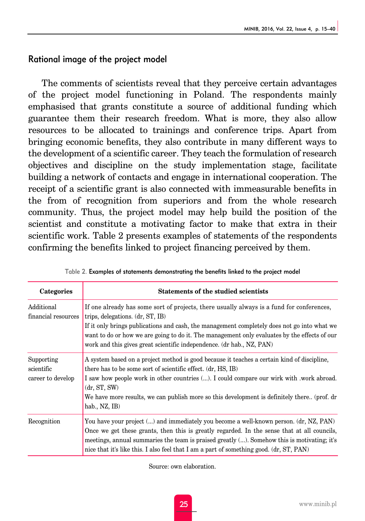# Rational image of the project model

The comments of scientists reveal that they perceive certain advantages of the project model functioning in Poland. The respondents mainly emphasised that grants constitute a source of additional funding which guarantee them their research freedom. What is more, they also allow resources to be allocated to trainings and conference trips. Apart from bringing economic benefits, they also contribute in many different ways to the development of a scientific career. They teach the formulation of research objectives and discipline on the study implementation stage, facilitate building a network of contacts and engage in international cooperation. The receipt of a scientific grant is also connected with immeasurable benefits in the from of recognition from superiors and from the whole research community. Thus, the project model may help build the position of the scientist and constitute a motivating factor to make that extra in their scientific work. Table 2 presents examples of statements of the respondents confirming the benefits linked to project financing perceived by them.

| Categories                                    | <b>Statements of the studied scientists</b>                                                                                                                                                                                                                                                                                                                                                           |
|-----------------------------------------------|-------------------------------------------------------------------------------------------------------------------------------------------------------------------------------------------------------------------------------------------------------------------------------------------------------------------------------------------------------------------------------------------------------|
| Additional<br>financial resources             | If one already has some sort of projects, there usually always is a fund for conferences,<br>trips, delegations. (dr. ST, IB)<br>If it only brings publications and cash, the management completely does not go into what we<br>want to do or how we are going to do it. The management only evaluates by the effects of our<br>work and this gives great scientific independence. (dr hab., NZ, PAN) |
| Supporting<br>scientific<br>career to develop | A system based on a project method is good because it teaches a certain kind of discipline,<br>there has to be some sort of scientific effect. (dr, HS, IB)<br>I saw how people work in other countries (). I could compare our wirk with work abroad.<br>(dr, ST, SW)<br>We have more results, we can publish more so this development is definitely there (prof. dr<br>hab., NZ, IB)                |
| Recognition                                   | You have your project () and immediately you become a well-known person. (dr, NZ, PAN)<br>Once we get these grants, then this is greatly regarded. In the sense that at all councils,<br>meetings, annual summaries the team is praised greatly (). Somehow this is motivating; it's<br>nice that it's like this. I also feel that I am a part of something good. (dr. ST, PAN)                       |

Table 2. Examples of statements demonstrating the benefits linked to the project model

Source: own elaboration.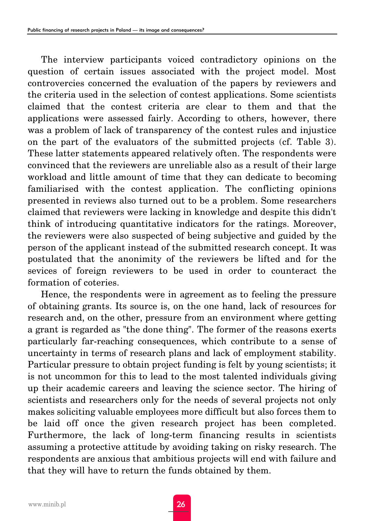The interview participants voiced contradictory opinions on the question of certain issues associated with the project model. Most controvercies concerned the evaluation of the papers by reviewers and the criteria used in the selection of contest applications. Some scientists claimed that the contest criteria are clear to them and that the applications were assessed fairly. According to others, however, there was a problem of lack of transparency of the contest rules and injustice on the part of the evaluators of the submitted projects (cf. Table 3). These latter statements appeared relatively often. The respondents were convinced that the reviewers are unreliable also as a result of their large workload and little amount of time that they can dedicate to becoming familiarised with the contest application. The conflicting opinions presented in reviews also turned out to be a problem. Some researchers claimed that reviewers were lacking in knowledge and despite this didn't think of introducing quantitative indicators for the ratings. Moreover, the reviewers were also suspected of being subjective and guided by the person of the applicant instead of the submitted research concept. It was postulated that the anonimity of the reviewers be lifted and for the sevices of foreign reviewers to be used in order to counteract the formation of coteries.

Hence, the respondents were in agreement as to feeling the pressure of obtaining grants. Its source is, on the one hand, lack of resources for research and, on the other, pressure from an environment where getting a grant is regarded as "the done thing". The former of the reasons exerts particularly far-reaching consequences, which contribute to a sense of uncertainty in terms of research plans and lack of employment stability. Particular pressure to obtain project funding is felt by young scientists; it is not uncommon for this to lead to the most talented individuals giving up their academic careers and leaving the science sector. The hiring of scientists and researchers only for the needs of several projects not only makes soliciting valuable employees more difficult but also forces them to be laid off once the given research project has been completed. Furthermore, the lack of long-term financing results in scientists assuming a protective attitude by avoiding taking on risky research. The respondents are anxious that ambitious projects will end with failure and that they will have to return the funds obtained by them.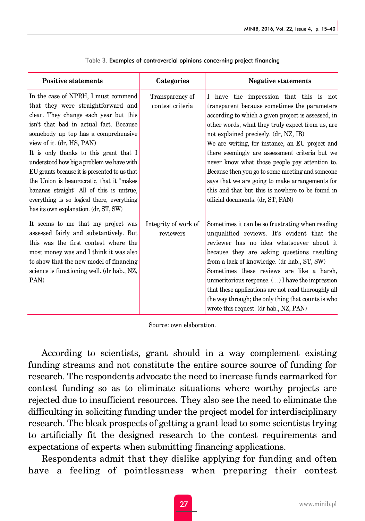| <b>Positive statements</b>                                                                                                                                                                                                                                                                                                                                                                                                                                                                                                                               | Categories                          | <b>Negative statements</b>                                                                                                                                                                                                                                                                                                                                                                                                                                                                                                                                                                      |
|----------------------------------------------------------------------------------------------------------------------------------------------------------------------------------------------------------------------------------------------------------------------------------------------------------------------------------------------------------------------------------------------------------------------------------------------------------------------------------------------------------------------------------------------------------|-------------------------------------|-------------------------------------------------------------------------------------------------------------------------------------------------------------------------------------------------------------------------------------------------------------------------------------------------------------------------------------------------------------------------------------------------------------------------------------------------------------------------------------------------------------------------------------------------------------------------------------------------|
| In the case of NPRH, I must commend<br>that they were straightforward and<br>clear. They change each year but this<br>isn't that bad in actual fact. Because<br>somebody up top has a comprehensive<br>view of it. (dr, HS, PAN)<br>It is only thanks to this grant that I<br>understood how big a problem we have with<br>EU grants because it is presented to us that<br>the Union is beaurocratic, that it "makes"<br>bananas straight" All of this is untrue,<br>everything is so logical there, everything<br>has its own explanation. (dr, ST, SW) | Transparency of<br>contest criteria | I have the impression that this is not<br>transparent because sometimes the parameters<br>according to which a given project is assessed, in<br>other words, what they truly expect from us, are<br>not explained precisely. (dr, NZ, IB)<br>We are writing, for instance, an EU project and<br>there seemingly are assessment criteria but we<br>never know what those people pay attention to.<br>Because then you go to some meeting and someone<br>says that we are going to make arrangements for<br>this and that but this is nowhere to be found in<br>official documents. (dr, ST, PAN) |
| It seems to me that my project was<br>assessed fairly and substantively. But<br>this was the first contest where the<br>most money was and I think it was also<br>to show that the new model of financing<br>science is functioning well. (dr hab., NZ,<br>PAN)                                                                                                                                                                                                                                                                                          | Integrity of work of<br>reviewers   | Sometimes it can be so frustrating when reading<br>unqualified reviews. It's evident that the<br>reviewer has no idea whatsoever about it<br>because they are asking questions resulting<br>from a lack of knowledge. (dr hab., ST, SW)<br>Sometimes these reviews are like a harsh,<br>unmeritorious response. () I have the impression<br>that these applications are not read thoroughly all<br>the way through; the only thing that counts is who<br>wrote this request. (dr hab., NZ, PAN)                                                                                                 |

|  | Table 3. Examples of controvercial opinions concerning project financing |  |  |
|--|--------------------------------------------------------------------------|--|--|
|  |                                                                          |  |  |

Source: own elaboration.

According to scientists, grant should in a way complement existing funding streams and not constitute the entire source source of funding for research. The respondents advocate the need to increase funds earmarked for contest funding so as to eliminate situations where worthy projects are rejected due to insufficient resources. They also see the need to eliminate the difficulting in soliciting funding under the project model for interdisciplinary research. The bleak prospects of getting a grant lead to some scientists trying to artificially fit the designed research to the contest requirements and expectations of experts when submitting financing applications.

Respondents admit that they dislike applying for funding and often have a feeling of pointlessness when preparing their contest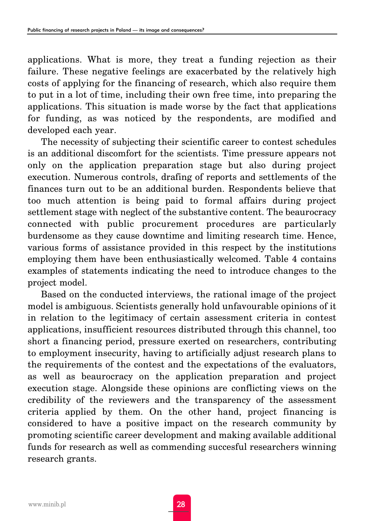applications. What is more, they treat a funding rejection as their failure. These negative feelings are exacerbated by the relatively high costs of applying for the financing of research, which also require them to put in a lot of time, including their own free time, into preparing the applications. This situation is made worse by the fact that applications for funding, as was noticed by the respondents, are modified and developed each year.

The necessity of subjecting their scientific career to contest schedules is an additional discomfort for the scientists. Time pressure appears not only on the application preparation stage but also during project execution. Numerous controls, drafing of reports and settlements of the finances turn out to be an additional burden. Respondents believe that too much attention is being paid to formal affairs during project settlement stage with neglect of the substantive content. The beaurocracy connected with public procurement procedures are particularly burdensome as they cause downtime and limiting research time. Hence, various forms of assistance provided in this respect by the institutions employing them have been enthusiastically welcomed. Table 4 contains examples of statements indicating the need to introduce changes to the project model.

Based on the conducted interviews, the rational image of the project model is ambiguous. Scientists generally hold unfavourable opinions of it in relation to the legitimacy of certain assessment criteria in contest applications, insufficient resources distributed through this channel, too short a financing period, pressure exerted on researchers, contributing to employment insecurity, having to artificially adjust research plans to the requirements of the contest and the expectations of the evaluators, as well as beaurocracy on the application preparation and project execution stage. Alongside these opinions are conflicting views on the credibility of the reviewers and the transparency of the assessment criteria applied by them. On the other hand, project financing is considered to have a positive impact on the research community by promoting scientific career development and making available additional funds for research as well as commending succesful researchers winning research grants.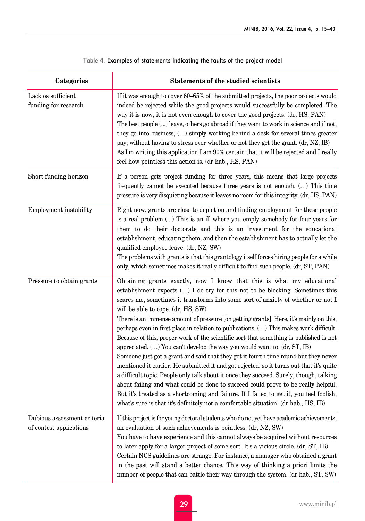| Categories                                             | <b>Statements of the studied scientists</b>                                                                                                                                                                                                                                                                                                                                                                                                                                                                                                                                                                                                                                                                                                                                                                                                                                                                                                                                                                                                                                                                                                                                                                |
|--------------------------------------------------------|------------------------------------------------------------------------------------------------------------------------------------------------------------------------------------------------------------------------------------------------------------------------------------------------------------------------------------------------------------------------------------------------------------------------------------------------------------------------------------------------------------------------------------------------------------------------------------------------------------------------------------------------------------------------------------------------------------------------------------------------------------------------------------------------------------------------------------------------------------------------------------------------------------------------------------------------------------------------------------------------------------------------------------------------------------------------------------------------------------------------------------------------------------------------------------------------------------|
| Lack os sufficient<br>funding for research             | If it was enough to cover 60–65% of the submitted projects, the poor projects would<br>indeed be rejected while the good projects would successfully be completed. The<br>way it is now, it is not even enough to cover the good projects. (dr, HS, PAN)<br>The best people () leave, others go abroad if they want to work in science and if not,<br>they go into business, () simply working behind a desk for several times greater<br>pay; without having to stress over whether or not they get the grant. (dr, NZ, IB)<br>As I'm writing this application I am 90% certain that it will be rejected and I really<br>feel how pointless this action is. (dr hab., HS, PAN)                                                                                                                                                                                                                                                                                                                                                                                                                                                                                                                            |
| Short funding horizon                                  | If a person gets project funding for three years, this means that large projects<br>frequently cannot be executed because three years is not enough. () This time<br>pressure is very disquieting because it leaves no room for this integrity. (dr, HS, PAN)                                                                                                                                                                                                                                                                                                                                                                                                                                                                                                                                                                                                                                                                                                                                                                                                                                                                                                                                              |
| Employment instability                                 | Right now, grants are close to depletion and finding employment for these people<br>is a real problem () This is an ill where you emply somebody for four years for<br>them to do their doctorate and this is an investment for the educational<br>establishment, educating them, and then the establishment has to actually let the<br>qualified employee leave. (dr, NZ, SW)<br>The problems with grants is that this grantology itself forces hiring people for a while<br>only, which sometimes makes it really difficult to find such people. (dr, ST, PAN)                                                                                                                                                                                                                                                                                                                                                                                                                                                                                                                                                                                                                                           |
| Pressure to obtain grants                              | Obtaining grants exactly, now I know that this is what my educational<br>establishment expects () I do try for this not to be blocking. Sometimes this<br>scares me, sometimes it transforms into some sort of anxiety of whether or not I<br>will be able to cope. (dr, HS, SW)<br>There is an immense amount of pressure [on getting grants]. Here, it's mainly on this,<br>perhaps even in first place in relation to publications. () This makes work difficult.<br>Because of this, proper work of the scientific sort that something is published is not<br>appreciated. $( \ldots )$ You can't develop the way you would want to. $(dr, ST, IB)$<br>Someone just got a grant and said that they got it fourth time round but they never<br>mentioned it earlier. He submitted it and got rejected, so it turns out that it's quite<br>a difficult topic. People only talk about it once they succeed. Surely, though, talking<br>about failing and what could be done to succeed could prove to be really helpful.<br>But it's treated as a shortcoming and failure. If I failed to get it, you feel foolish,<br>what's sure is that it's definitely not a comfortable situation. (dr hab., HS, IB) |
| Dubious assessment criteria<br>of contest applications | If this project is for young doctoral students who do not yet have academic achievements,<br>an evaluation of such achievements is pointless. (dr, NZ, SW)<br>You have to have experience and this cannot always be acquired without resources<br>to later apply for a larger project of some sort. It's a vicious circle. (dr, ST, IB)<br>Certain NCS guidelines are strange. For instance, a manager who obtained a grant<br>in the past will stand a better chance. This way of thinking a priori limits the<br>number of people that can battle their way through the system. (dr hab., ST, SW)                                                                                                                                                                                                                                                                                                                                                                                                                                                                                                                                                                                                        |

#### Table 4. Examples of statements indicating the faults of the project model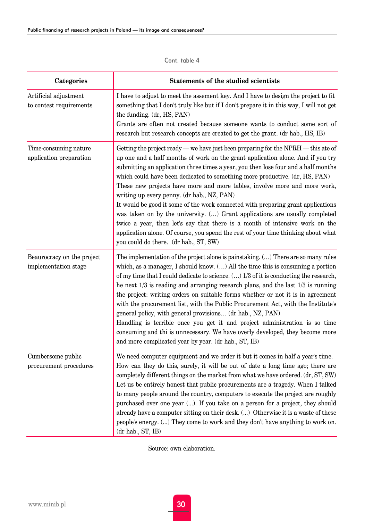| <b>Categories</b>                                  | <b>Statements of the studied scientists</b>                                                                                                                                                                                                                                                                                                                                                                                                                                                                                                                                                                                                                                                                                                                                                                                                           |
|----------------------------------------------------|-------------------------------------------------------------------------------------------------------------------------------------------------------------------------------------------------------------------------------------------------------------------------------------------------------------------------------------------------------------------------------------------------------------------------------------------------------------------------------------------------------------------------------------------------------------------------------------------------------------------------------------------------------------------------------------------------------------------------------------------------------------------------------------------------------------------------------------------------------|
| Artificial adjustment<br>to contest requirements   | I have to adjust to meet the assement key. And I have to design the project to fit<br>something that I don't truly like but if I don't prepare it in this way, I will not get<br>the funding. (dr, HS, PAN)<br>Grants are often not created because someone wants to conduct some sort of<br>research but research concepts are created to get the grant. (dr hab., HS, IB)                                                                                                                                                                                                                                                                                                                                                                                                                                                                           |
| Time-consuming nature<br>application preparation   | Getting the project ready — we have just been preparing for the NPRH — this ate of<br>up one and a half months of work on the grant application alone. And if you try<br>submitting an application three times a year, you then lose four and a half months<br>which could have been dedicated to something more productive. (dr, HS, PAN)<br>These new projects have more and more tables, involve more and more work,<br>writing up every penny. (dr hab., NZ, PAN)<br>It would be good it some of the work connected with preparing grant applications<br>was taken on by the university. () Grant applications are usually completed<br>twice a year, then let's say that there is a month of intensive work on the<br>application alone. Of course, you spend the rest of your time thinking about what<br>you could do there. (dr hab., ST, SW) |
| Beaurocracy on the project<br>implementation stage | The implementation of the project alone is painstaking. () There are so many rules<br>which, as a manager, I should know. () All the time this is consuming a portion<br>of my time that I could dedicate to science. () 1/3 of it is conducting the research,<br>he next $1/3$ is reading and arranging research plans, and the last $1/3$ is running<br>the project: writing orders on suitable forms whether or not it is in agreement<br>with the procurement list, with the Public Procurement Act, with the Institute's<br>general policy, with general provisions (dr hab., NZ, PAN)<br>Handling is terrible once you get it and project administration is so time<br>consuming and thi is unnecessary. We have overly developed, they become more<br>and more complicated year by year. (dr hab., ST, IB)                                     |
| Cumbersome public<br>procurement procedures        | We need computer equipment and we order it but it comes in half a year's time.<br>How can they do this, surely, it will be out of date a long time ago; there are<br>completely different things on the market from what we have ordered. (dr, ST, SW)<br>Let us be entirely honest that public procurements are a tragedy. When I talked<br>to many people around the country, computers to execute the project are roughly<br>purchased over one year (). If you take on a person for a project, they should<br>already have a computer sitting on their desk. () Otherwise it is a waste of these<br>people's energy. () They come to work and they don't have anything to work on.<br>(dr hab., ST, IB)                                                                                                                                           |

Cont. table 4

Source: own elaboration.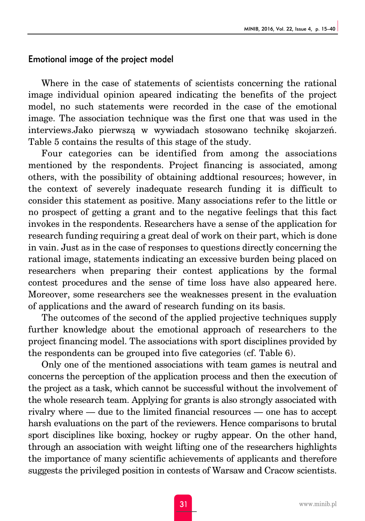#### Emotional image of the project model

Where in the case of statements of scientists concerning the rational image individual opinion apeared indicating the benefits of the project model, no such statements were recorded in the case of the emotional image. The association technique was the first one that was used in the interviews.Jako pierwszą w wywiadach stosowano technikę skojarzeń. Table 5 contains the results of this stage of the study.

Four categories can be identified from among the associations mentioned by the respondents. Project financing is associated, among others, with the possibility of obtaining addtional resources; however, in the context of severely inadequate research funding it is difficult to consider this statement as positive. Many associations refer to the little or no prospect of getting a grant and to the negative feelings that this fact invokes in the respondents. Researchers have a sense of the application for research funding requiring a great deal of work on their part, which is done in vain. Just as in the case of responses to questions directly concerning the rational image, statements indicating an excessive burden being placed on researchers when preparing their contest applications by the formal contest procedures and the sense of time loss have also appeared here. Moreover, some researchers see the weaknesses present in the evaluation of applications and the award of research funding on its basis.

The outcomes of the second of the applied projective techniques supply further knowledge about the emotional approach of researchers to the project financing model. The associations with sport disciplines provided by the respondents can be grouped into five categories (cf. Table 6).

Only one of the mentioned associations with team games is neutral and concerns the perception of the application process and then the execution of the project as a task, which cannot be successful without the involvement of the whole research team. Applying for grants is also strongly associated with rivalry where — due to the limited financial resources — one has to accept harsh evaluations on the part of the reviewers. Hence comparisons to brutal sport disciplines like boxing, hockey or rugby appear. On the other hand, through an association with weight lifting one of the researchers highlights the importance of many scientific achievements of applicants and therefore suggests the privileged position in contests of Warsaw and Cracow scientists.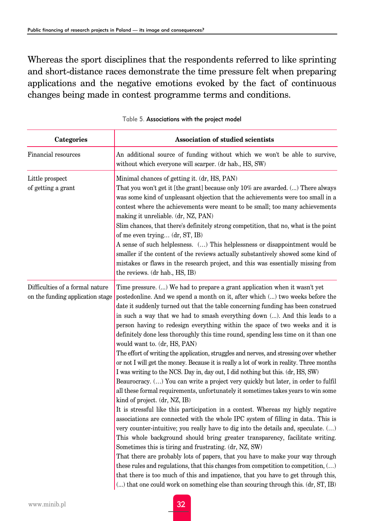Whereas the sport disciplines that the respondents referred to like sprinting and short-distance races demonstrate the time pressure felt when preparing applications and the negative emotions evoked by the fact of continuous changes being made in contest programme terms and conditions.

| Categories                                                          | Association of studied scientists                                                                                                                                                                                                                                                                                                                                                                                                                                                                                                                                                                                                                                                                                                                                                                                                                                                                                                                                                                                                                                                                                                                                                                                                                                                                                                                                                                                                                                                                                                                                                                                                                                                                                                                                                          |
|---------------------------------------------------------------------|--------------------------------------------------------------------------------------------------------------------------------------------------------------------------------------------------------------------------------------------------------------------------------------------------------------------------------------------------------------------------------------------------------------------------------------------------------------------------------------------------------------------------------------------------------------------------------------------------------------------------------------------------------------------------------------------------------------------------------------------------------------------------------------------------------------------------------------------------------------------------------------------------------------------------------------------------------------------------------------------------------------------------------------------------------------------------------------------------------------------------------------------------------------------------------------------------------------------------------------------------------------------------------------------------------------------------------------------------------------------------------------------------------------------------------------------------------------------------------------------------------------------------------------------------------------------------------------------------------------------------------------------------------------------------------------------------------------------------------------------------------------------------------------------|
| Financial resources                                                 | An additional source of funding without which we won't be able to survive,<br>without which everyone will scarper. (dr hab., HS, SW)                                                                                                                                                                                                                                                                                                                                                                                                                                                                                                                                                                                                                                                                                                                                                                                                                                                                                                                                                                                                                                                                                                                                                                                                                                                                                                                                                                                                                                                                                                                                                                                                                                                       |
| Little prospect<br>of getting a grant                               | Minimal chances of getting it. (dr. HS, PAN)<br>That you won't get it [the grant] because only 10% are awarded. () There always<br>was some kind of unpleasant objection that the achievements were too small in a<br>contest where the achievements were meant to be small; too many achievements<br>making it unreliable. (dr, NZ, PAN)<br>Slim chances, that there's definitely strong competition, that no, what is the point<br>of me even trying (dr, ST, IB)<br>A sense of such helplesness. () This helplessness or disappointment would be<br>smaller if the content of the reviews actually substantively showed some kind of<br>mistakes or flaws in the research project, and this was essentially missing from<br>the reviews. (dr hab., HS, IB)                                                                                                                                                                                                                                                                                                                                                                                                                                                                                                                                                                                                                                                                                                                                                                                                                                                                                                                                                                                                                              |
| Difficulties of a formal nature<br>on the funding application stage | Time pressure. () We had to prepare a grant application when it wasn't yet<br>postedonline. And we spend a month on it, after which () two weeks before the<br>date it suddenly turned out that the table concerning funding has been construed<br>in such a way that we had to smash everything down (). And this leads to a<br>person having to redesign everything within the space of two weeks and it is<br>definitely done less thoroughly this time round, spending less time on it than one<br>would want to. (dr, HS, PAN)<br>The effort of writing the application, struggles and nerves, and stressing over whether<br>or not I will get the money. Because it is really a lot of work in reality. Three months<br>I was writing to the NCS. Day in, day out, I did nothing but this. (dr, HS, SW)<br>Beaurocracy. () You can write a project very quickly but later, in order to fulfil<br>all these formal requirements, unfortunately it sometimes takes years to win some<br>kind of project. (dr, NZ, IB)<br>It is stressful like this participation in a contest. Whereas my highly negative<br>associations are connected with the whole IPC system of filling in data This is<br>very counter-intuitive; you really have to dig into the details and, speculate. ()<br>This whole background should bring greater transparency, facilitate writing.<br>Sometimes this is tiring and frustrating. (dr, NZ, SW)<br>That there are probably lots of papers, that you have to make your way through<br>these rules and regulations, that this changes from competition to competition, $(\ldots)$<br>that there is too much of this and impatience, that you have to get through this,<br>() that one could work on something else than scouring through this. (dr, ST, IB) |

Table 5. Associations with the project model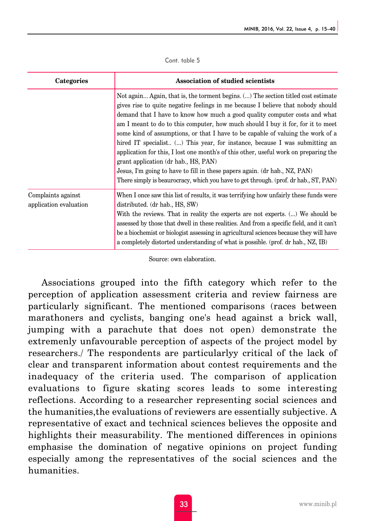Cont. table 5

| Categories                                   | <b>Association of studied scientists</b>                                                                                                                                                                                                                                                                                                                                                                                                                                                                                                                                                                                                                                                                               |
|----------------------------------------------|------------------------------------------------------------------------------------------------------------------------------------------------------------------------------------------------------------------------------------------------------------------------------------------------------------------------------------------------------------------------------------------------------------------------------------------------------------------------------------------------------------------------------------------------------------------------------------------------------------------------------------------------------------------------------------------------------------------------|
|                                              | Not again Again, that is, the torment begins. () The section titled cost estimate<br>gives rise to quite negative feelings in me because I believe that nobody should<br>demand that I have to know how much a good quality computer costs and what<br>am I meant to do to this computer, how much should I buy it for, for it to meet<br>some kind of assumptions, or that I have to be capable of valuing the work of a<br>hired IT specialist () This year, for instance, because I was submitting an<br>application for this, I lost one month's of this other, useful work on preparing the<br>grant application (dr hab., HS, PAN)<br>Jesus, I'm going to have to fill in these papers again. (dr hab., NZ, PAN) |
|                                              | There simply is beaurocracy, which you have to get through. (prof. dr hab., ST, PAN)                                                                                                                                                                                                                                                                                                                                                                                                                                                                                                                                                                                                                                   |
| Complaints against<br>application evaluation | When I once saw this list of results, it was terrifying how unfairly these funds were<br>distributed. (dr hab., HS, SW)<br>With the reviews. That in reality the experts are not experts. () We should be<br>assessed by those that dwell in these realities. And from a specific field, and it can't<br>be a biochemist or biologist assessing in agricultural sciences because they will have<br>a completely distorted understanding of what is possible. (prof. dr hab., NZ, IB)                                                                                                                                                                                                                                   |

Source: own elaboration.

Associations grouped into the fifth category which refer to the perception of application assessment criteria and review fairness are particularly significant. The mentioned comparisons (races between marathoners and cyclists, banging one's head against a brick wall, jumping with a parachute that does not open) demonstrate the extremenly unfavourable perception of aspects of the project model by researchers./ The respondents are particularlyy critical of the lack of clear and transparent information about contest requirements and the inadequacy of the criteria used. The comparison of application evaluations to figure skating scores leads to some interesting reflections. According to a researcher representing social sciences and the humanities,the evaluations of reviewers are essentially subjective. A representative of exact and technical sciences believes the opposite and highlights their measurability. The mentioned differences in opinions emphasise the domination of negative opinions on project funding especially among the representatives of the social sciences and the humanities.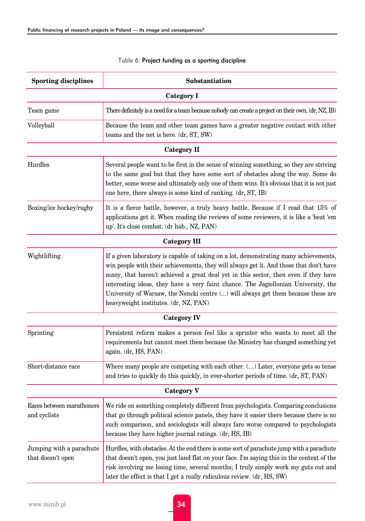| <b>Sporting disciplines</b>                   | Substantiation                                                                                                                                                                                                                                                                                                                                                                                                                                                                             |
|-----------------------------------------------|--------------------------------------------------------------------------------------------------------------------------------------------------------------------------------------------------------------------------------------------------------------------------------------------------------------------------------------------------------------------------------------------------------------------------------------------------------------------------------------------|
|                                               | Category I                                                                                                                                                                                                                                                                                                                                                                                                                                                                                 |
| Team game                                     | There definitely is a need for a team because nobody can create a project on their own. (dr, NZ, IB)                                                                                                                                                                                                                                                                                                                                                                                       |
| Volleyball                                    | Because the team and other team games have a greater negative contact with other<br>teams and the net is here. (dr, ST, SW)                                                                                                                                                                                                                                                                                                                                                                |
|                                               | Category II                                                                                                                                                                                                                                                                                                                                                                                                                                                                                |
| Hurdles                                       | Several people want to be first in the sense of winning something, so they are striving<br>to the same goal but that they have some sort of obstacles along the way. Some do<br>better, some worse and ultimately only one of them wins. It's obvious that it is not just<br>one here, there always is some kind of ranking. (dr, ST, IB)                                                                                                                                                  |
| Boxing/ice hockey/rugby                       | It is a fierce battle, however, a truly heavy battle. Because if I read that 15% of<br>applications get it. When reading the reviews of some reviewers, it is like a 'beat 'em<br>up'. It's close combat. (dr hab., NZ, PAN)                                                                                                                                                                                                                                                               |
|                                               | Category III                                                                                                                                                                                                                                                                                                                                                                                                                                                                               |
| Wightlifting                                  | If a given laboratory is capable of taking on a lot, demonstrating many achievements,<br>win people with their achievements, they will always get it. And those that don't have<br>many, that haven't achieved a great deal yet in this sector, then even if they have<br>interesting ideas, they have a very faint chance. The Jagiellonian University, the<br>University of Warsaw, the Nencki centre () will always get them because these are<br>heavyweight institutes. (dr, NZ, PAN) |
|                                               | Category IV                                                                                                                                                                                                                                                                                                                                                                                                                                                                                |
| Sprinting                                     | Persistent reform makes a person feel like a sprinter who wants to meet all the<br>requirements but cannot meet them because the Ministry has changed something yet<br>again. (dr, HS, PAN)                                                                                                                                                                                                                                                                                                |
| Short-distance race                           | Where many people are competing with each other. () Later, everyone gets so tense<br>and tries to quickly do this quickly, in ever-shorter periods of time. (dr, ST, PAN)                                                                                                                                                                                                                                                                                                                  |
|                                               | <b>Category V</b>                                                                                                                                                                                                                                                                                                                                                                                                                                                                          |
| Races between marathoners<br>and cyclists     | We ride on something completely different from psychologists. Comparing conclusions<br>that go through political science panels, they have it easier there because there is no<br>such comparison, and sociologists will always fare worse compared to psychologists<br>because they have higher journal ratings. (dr, HS, IB)                                                                                                                                                             |
| Jumping with a parachute<br>that doesn't open | Hurdles, with obstacles. At the end there is some sort of parachute jump with a parachute<br>that doesn't open, you just land flat on your face. I'm saying this in the context of the<br>risk involving me losing time, several months; I truly simply work my guts out and<br>later the effect is that I get a really ridiculous review. (dr, HS, SW)                                                                                                                                    |

#### Table 6. Project funding as a sporting discipline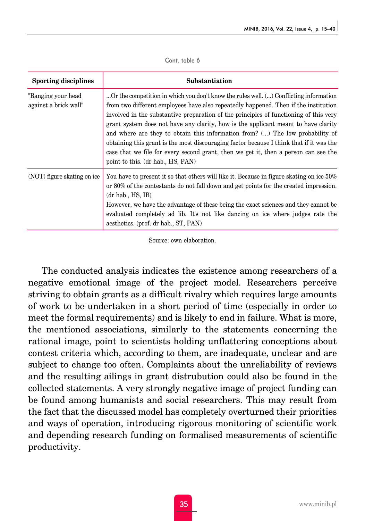| <b>Sporting disciplines</b>                 | Substantiation                                                                                                                                                                                                                                                                                                                                                                                                                                                                                                                                                                                                                                                      |
|---------------------------------------------|---------------------------------------------------------------------------------------------------------------------------------------------------------------------------------------------------------------------------------------------------------------------------------------------------------------------------------------------------------------------------------------------------------------------------------------------------------------------------------------------------------------------------------------------------------------------------------------------------------------------------------------------------------------------|
| "Banging your head<br>against a brick wall" | Or the competition in which you don't know the rules well. () Conflicting information<br>from two different employees have also repeatedly happened. Then if the institution<br>involved in the substantive preparation of the principles of functioning of this very<br>grant system does not have any clarity, how is the applicant meant to have clarity<br>and where are they to obtain this information from? () The low probability of<br>obtaining this grant is the most discouraging factor because I think that if it was the<br>case that we file for every second grant, then we get it, then a person can see the<br>point to this. (dr hab., HS, PAN) |
| (NOT) figure skating on ice                 | You have to present it so that others will like it. Because in figure skating on ice 50%<br>or 80% of the contestants do not fall down and get points for the created impression.<br>$(dr$ hab., $HS$ , $IB$ )<br>However, we have the advantage of these being the exact sciences and they cannot be<br>evaluated completely ad lib. It's not like dancing on ice where judges rate the<br>aesthetics. (prof. dr hab., ST, PAN)                                                                                                                                                                                                                                    |

Cont. table 6

Source: own elaboration.

The conducted analysis indicates the existence among researchers of a negative emotional image of the project model. Researchers perceive striving to obtain grants as a difficult rivalry which requires large amounts of work to be undertaken in a short period of time (especially in order to meet the formal requirements) and is likely to end in failure. What is more, the mentioned associations, similarly to the statements concerning the rational image, point to scientists holding unflattering conceptions about contest criteria which, according to them, are inadequate, unclear and are subject to change too often. Complaints about the unreliability of reviews and the resulting ailings in grant distrubution could also be found in the collected statements. A very strongly negative image of project funding can be found among humanists and social researchers. This may result from the fact that the discussed model has completely overturned their priorities and ways of operation, introducing rigorous monitoring of scientific work and depending research funding on formalised measurements of scientific productivity.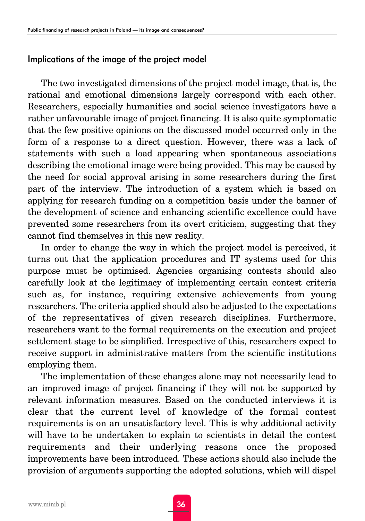### Implications of the image of the project model

The two investigated dimensions of the project model image, that is, the rational and emotional dimensions largely correspond with each other. Researchers, especially humanities and social science investigators have a rather unfavourable image of project financing. It is also quite symptomatic that the few positive opinions on the discussed model occurred only in the form of a response to a direct question. However, there was a lack of statements with such a load appearing when spontaneous associations describing the emotional image were being provided. This may be caused by the need for social approval arising in some researchers during the first part of the interview. The introduction of a system which is based on applying for research funding on a competition basis under the banner of the development of science and enhancing scientific excellence could have prevented some researchers from its overt criticism, suggesting that they cannot find themselves in this new reality.

In order to change the way in which the project model is perceived, it turns out that the application procedures and IT systems used for this purpose must be optimised. Agencies organising contests should also carefully look at the legitimacy of implementing certain contest criteria such as, for instance, requiring extensive achievements from young researchers. The criteria applied should also be adjusted to the expectations of the representatives of given research disciplines. Furthermore, researchers want to the formal requirements on the execution and project settlement stage to be simplified. Irrespective of this, researchers expect to receive support in administrative matters from the scientific institutions employing them.

The implementation of these changes alone may not necessarily lead to an improved image of project financing if they will not be supported by relevant information measures. Based on the conducted interviews it is clear that the current level of knowledge of the formal contest requirements is on an unsatisfactory level. This is why additional activity will have to be undertaken to explain to scientists in detail the contest requirements and their underlying reasons once the proposed improvements have been introduced. These actions should also include the provision of arguments supporting the adopted solutions, which will dispel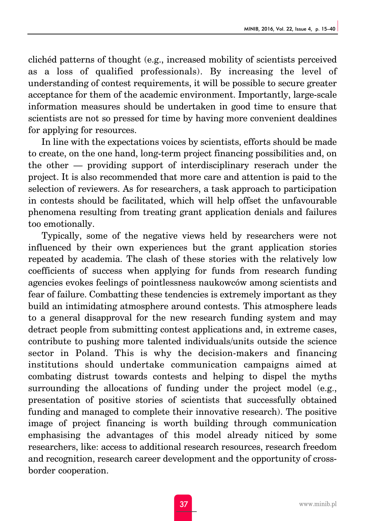clichéd patterns of thought (e.g., increased mobility of scientists perceived as a loss of qualified professionals). By increasing the level of understanding of contest requirements, it will be possible to secure greater acceptance for them of the academic environment. Importantly, large-scale information measures should be undertaken in good time to ensure that scientists are not so pressed for time by having more convenient dealdines for applying for resources.

In line with the expectations voices by scientists, efforts should be made to create, on the one hand, long-term project financing possibilities and, on the other — providing support of interdisciplinary reserach under the project. It is also recommended that more care and attention is paid to the selection of reviewers. As for researchers, a task approach to participation in contests should be facilitated, which will help offset the unfavourable phenomena resulting from treating grant application denials and failures too emotionally.

Typically, some of the negative views held by researchers were not influenced by their own experiences but the grant application stories repeated by academia. The clash of these stories with the relatively low coefficients of success when applying for funds from research funding agencies evokes feelings of pointlessness naukowców among scientists and fear of failure. Combatting these tendencies is extremely important as they build an intimidating atmosphere around contests. This atmosphere leads to a general disapproval for the new research funding system and may detract people from submitting contest applications and, in extreme cases, contribute to pushing more talented individuals/units outside the science sector in Poland. This is why the decision-makers and financing institutions should undertake communication campaigns aimed at combating distrust towards contests and helping to dispel the myths surrounding the allocations of funding under the project model (e.g., presentation of positive stories of scientists that successfully obtained funding and managed to complete their innovative research). The positive image of project financing is worth building through communication emphasising the advantages of this model already niticed by some researchers, like: access to additional research resources, research freedom and recognition, research career development and the opportunity of crossborder cooperation.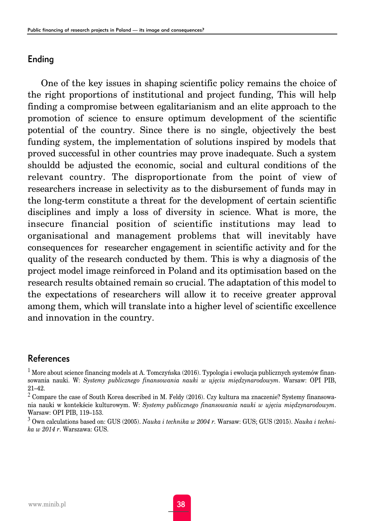### Ending

One of the key issues in shaping scientific policy remains the choice of the right proportions of institutional and project funding, This will help finding a compromise between egalitarianism and an elite approach to the promotion of science to ensure optimum development of the scientific potential of the country. Since there is no single, objectively the best funding system, the implementation of solutions inspired by models that proved successful in other countries may prove inadequate. Such a system shouldd be adjusted the economic, social and cultural conditions of the relevant country. The disproportionate from the point of view of researchers increase in selectivity as to the disbursement of funds may in the long-term constitute a threat for the development of certain scientific disciplines and imply a loss of diversity in science. What is more, the insecure financial position of scientific institutions may lead to organisational and management problems that will inevitably have consequences for researcher engagement in scientific activity and for the quality of the research conducted by them. This is why a diagnosis of the project model image reinforced in Poland and its optimisation based on the research results obtained remain so crucial. The adaptation of this model to the expectations of researchers will allow it to receive greater approval among them, which will translate into a higher level of scientific excellence and innovation in the country.

# References

<sup>1</sup> More about science financing models at A. Tomczyńska (2016). Typologia i ewolucja publicznych systemów finansowania nauki. W: *Systemy publicznego finansowania nauki w ujęciu międzynarodowym*. Warsaw: OPI PIB, 21–42.

 $^2$  Compare the case of South Korea described in M. Feldy (2016). Czy kultura ma znaczenie? Systemy finansowania nauki w kontekście kulturowym. W: *Systemy publicznego finansowania nauki w ujęciu międzynarodowym*. Warsaw: OPI PIB, 119–153.

<sup>3</sup> Own calculations based on: GUS (2005). *Nauka i technika w 2004 r.* Warsaw: GUS; GUS (2015). *Nauka i technika w 2014 r*. Warszawa: GUS.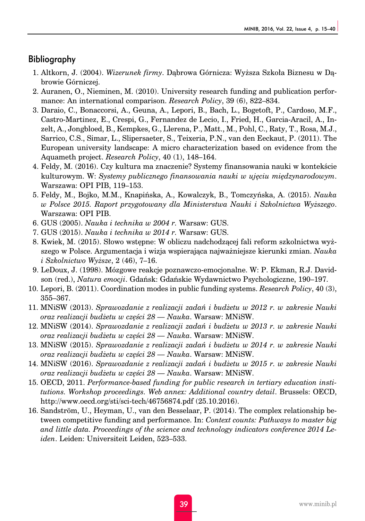#### Bibliography

- 1. Altkorn, J. (2004). *Wizerunek firmy*. Dąbrowa Górnicza: Wyższa Szkoła Biznesu w Dąbrowie Górniczej.
- 2. Auranen, O., Nieminen, M. (2010). University research funding and publication performance: An international comparison. *Research Policy*, 39 (6), 822–834.
- 3. Daraio, C., Bonaccorsi, A., Geuna, A., Lepori, B., Bach, L., Bogetoft, P., Cardoso, M.F., Castro-Martinez, E., Crespi, G., Fernandez de Lecio, I., Fried, H., Garcia-Aracil, A., Inzelt, A., Jongbloed, B., Kempkes, G., Llerena, P., Matt., M., Pohl, C., Raty, T., Rosa, M.J., Sarrico, C.S., Simar, L., Slipersaeter, S., Teixeria, P.N., van den Eeckaut, P. (2011). The European university landscape: A micro characterization based on evidence from the Aquameth project. *Research Policy*, 40 (1), 148–164.
- 4. Feldy, M. (2016). Czy kultura ma znaczenie? Systemy finansowania nauki w kontekście kulturowym. W: *Systemy publicznego finansowania nauki w ujęciu międzynarodowym*. Warszawa: OPI PIB, 119–153.
- 5. Feldy, M., Bojko, M.M., Knapińska, A., Kowalczyk, B., Tomczyńska, A. (2015). *Nauka w Polsce 2015. Raport przygotowany dla Ministerstwa Nauki i Szkolnictwa Wyższego*. Warszawa: OPI PIB.
- 6. GUS (2005). *Nauka i technika w 2004 r.* Warsaw: GUS.
- 7. GUS (2015). *Nauka i technika w 2014 r.* Warsaw: GUS.
- 8. Kwiek, M. (2015). Słowo wstępne: W obliczu nadchodzącej fali reform szkolnictwa wyższego w Polsce. Argumentacja i wizja wspierająca najważniejsze kierunki zmian. *Nauka i Szkolnictwo Wyższe*, 2 (46), 7–16.
- 9. LeDoux, J. (1998). Mózgowe reakcje poznawczo-emocjonalne. W: P. Ekman, R.J. Davidson (red.), *Natura emocji*. Gdańsk: Gdańskie Wydawnictwo Psychologiczne, 190–197.
- 10. Lepori, B. (2011). Coordination modes in public funding systems. *Research Policy*, 40 (3), 355–367.
- 11. MNiSW (2013). *Sprawozdanie z realizacji zadań i budżetu w 2012 r. w zakresie Nauki oraz realizacji budżetu w części 28 — Nauka*. Warsaw: MNiSW.
- 12. MNiSW (2014). *Sprawozdanie z realizacji zadań i budżetu w 2013 r. w zakresie Nauki oraz realizacji budżetu w części 28 — Nauka*. Warsaw: MNiSW.
- 13. MNiSW (2015). *Sprawozdanie z realizacji zadań i budżetu w 2014 r. w zakresie Nauki oraz realizacji budżetu w części 28 — Nauka*. Warsaw: MNiSW.
- 14. MNiSW (2016). *Sprawozdanie z realizacji zadań i budżetu w 2015 r. w zakresie Nauki oraz realizacji budżetu w części 28 — Nauka*. Warsaw: MNiSW.
- 15. OECD, 2011. *Performance-based funding for public research in tertiary education institutions. Workshop proceedings. Web annex: Additional country detail*. Brussels: OECD, http://www.oecd.org/sti/sci-tech/46756874.pdf (25.10.2016).
- 16. Sandström, U., Heyman, U., van den Besselaar, P. (2014). The complex relationship between competitive funding and performance. In: *Context counts: Pathways to master big and little data. Proceedings of the science and technology indicators conference 2014 Leiden*. Leiden: Universiteit Leiden, 523–533.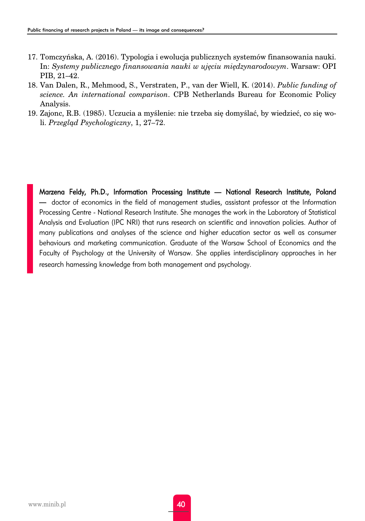- 17. Tomczyńska, A. (2016). Typologia i ewolucja publicznych systemów finansowania nauki. In: *Systemy publicznego finansowania nauki w ujęciu międzynarodowym*. Warsaw: OPI PIB, 21–42.
- 18. Van Dalen, R., Mehmood, S., Verstraten, P., van der Wiell, K. (2014). *Public funding of science. An international comparison*. CPB Netherlands Bureau for Economic Policy Analysis.
- 19. Zajonc, R.B. (1985). Uczucia a myślenie: nie trzeba się domyślać, by wiedzieć, co się woli. *Przegląd Psychologiczny*, 1, 27–72.

Marzena Feldy, Ph.D., Information Processing Institute — National Research Institute, Poland — doctor of economics in the field of management studies, assistant professor at the Information Processing Centre - National Research Institute. She manages the work in the Laboratory of Statistical Analysis and Evaluation (IPC NRI) that runs research on scientific and innovation policies. Author of many publications and analyses of the science and higher education sector as well as consumer behaviours and marketing communication. Graduate of the Warsaw School of Economics and the Faculty of Psychology at the University of Warsaw. She applies interdisciplinary approaches in her research harnessing knowledge from both management and psychology.